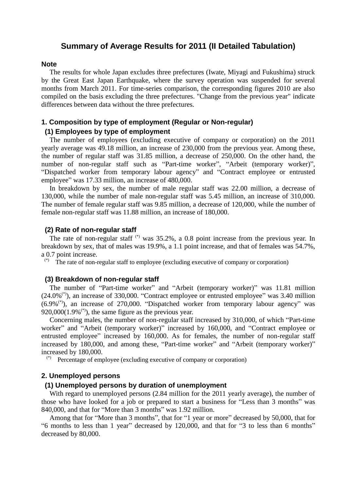## **Summary of Average Results for 2011 (II Detailed Tabulation)**

#### **Note**

The results for whole Japan excludes three prefectures (Iwate, Miyagi and Fukushima) struck by the Great East Japan Earthquake, where the survey operation was suspended for several months from March 2011. For time-series comparison, the corresponding figures 2010 are also compiled on the basis excluding the three prefectures. "Change from the previous year" indicate differences between data without the three prefectures.

## **1. Composition by type of employment (Regular or Non-regular) (1) Employees by type of employment**

The number of employees (excluding executive of company or corporation) on the 2011 yearly average was 49.18 million, an increase of 230,000 from the previous year. Among these, the number of regular staff was 31.85 million, a decrease of 250,000. On the other hand, the number of non-regular staff such as "Part-time worker", "Arbeit (temporary worker)", "Dispatched worker from temporary labour agency" and "Contract employee or entrusted employee" was 17.33 million, an increase of 480,000.

In breakdown by sex, the number of male regular staff was 22.00 million, a decrease of 130,000, while the number of male non-regular staff was 5.45 million, an increase of 310,000. The number of female regular staff was 9.85 million, a decrease of 120,000, while the number of female non-regular staff was 11.88 million, an increase of 180,000.

### **(2) Rate of non-regular staff**

The rate of non-regular staff  $(*)$  was 35.2%, a 0.8 point increase from the previous year. In breakdown by sex, that of males was 19.9%, a 1.1 point increase, and that of females was 54.7%, a 0.7 point increase.

(\*) The rate of non-regular staff to employee (excluding executive of company or corporation)

#### **(3) Breakdown of non-regular staff**

The number of "Part-time worker" and "Arbeit (temporary worker)" was 11.81 million  $(24.0\%^{(*)})$ , an increase of 330,000. "Contract employee or entrusted employee" was 3.40 million  $(6.9\%^{(*)})$ , an increase of 270,000. "Dispatched worker from temporary labour agency" was  $920,000(1.9\%)$ , the same figure as the previous year.

Concerning males, the number of non-regular staff increased by 310,000, of which "Part-time worker" and "Arbeit (temporary worker)" increased by 160,000, and "Contract employee or entrusted employee" increased by 160,000. As for females, the number of non-regular staff increased by 180,000, and among these, "Part-time worker" and "Arbeit (temporary worker)" increased by 180,000.

(\*) Percentage of employee (excluding executive of company or corporation)

## **2. Unemployed persons**

#### **(1) Unemployed persons by duration of unemployment**

With regard to unemployed persons (2.84 million for the 2011 yearly average), the number of those who have looked for a job or prepared to start a business for "Less than 3 months" was 840,000, and that for "More than 3 months" was 1.92 million.

Among that for "More than 3 months", that for "1 year or more" decreased by 50,000, that for "6 months to less than 1 year" decreased by 120,000, and that for "3 to less than 6 months" decreased by 80,000.